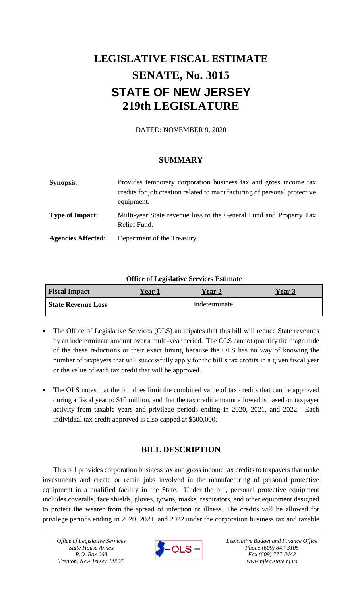# **LEGISLATIVE FISCAL ESTIMATE SENATE, No. 3015 STATE OF NEW JERSEY 219th LEGISLATURE**

DATED: NOVEMBER 9, 2020

## **SUMMARY**

| <b>Synopsis:</b>          | Provides temporary corporation business tax and gross income tax<br>credits for job creation related to manufacturing of personal protective<br>equipment. |
|---------------------------|------------------------------------------------------------------------------------------------------------------------------------------------------------|
| <b>Type of Impact:</b>    | Multi-year State revenue loss to the General Fund and Property Tax<br>Relief Fund.                                                                         |
| <b>Agencies Affected:</b> | Department of the Treasury                                                                                                                                 |

## **Office of Legislative Services Estimate**

| <b>Fiscal Impact</b>      | <b>Year 1</b> | <b>Year 2</b> | <b>Year 3</b> |
|---------------------------|---------------|---------------|---------------|
| <b>State Revenue Loss</b> |               | Indeterminate |               |

- The Office of Legislative Services (OLS) anticipates that this bill will reduce State revenues by an indeterminate amount over a multi-year period. The OLS cannot quantify the magnitude of the these reductions or their exact timing because the OLS has no way of knowing the number of taxpayers that will successfully apply for the bill's tax credits in a given fiscal year or the value of each tax credit that will be approved.
- The OLS notes that the bill does limit the combined value of tax credits that can be approved during a fiscal year to \$10 million, and that the tax credit amount allowed is based on taxpayer activity from taxable years and privilege periods ending in 2020, 2021, and 2022. Each individual tax credit approved is also capped at \$500,000.

# **BILL DESCRIPTION**

This bill provides corporation business tax and gross income tax credits to taxpayers that make investments and create or retain jobs involved in the manufacturing of personal protective equipment in a qualified facility in the State. Under the bill, personal protective equipment includes coveralls, face shields, gloves, gowns, masks, respirators, and other equipment designed to protect the wearer from the spread of infection or illness. The credits will be allowed for privilege periods ending in 2020, 2021, and 2022 under the corporation business tax and taxable